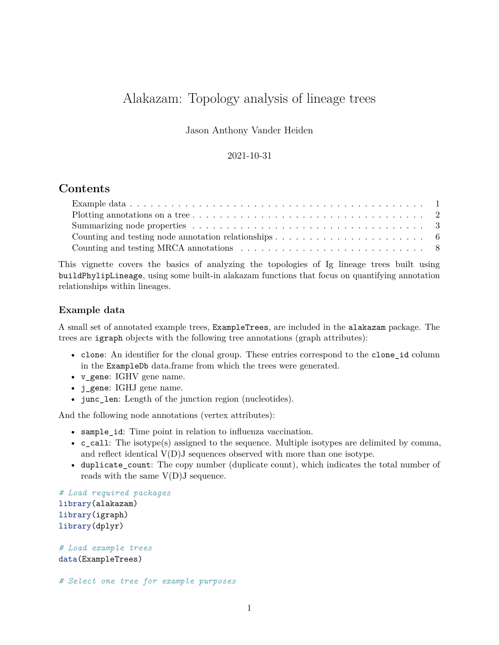# Alakazam: Topology analysis of lineage trees

Jason Anthony Vander Heiden

## 2021-10-31

# **Contents**

| Counting and testing node annotation relationships $\ldots \ldots \ldots \ldots \ldots \ldots \ldots \ldots$ |
|--------------------------------------------------------------------------------------------------------------|
|                                                                                                              |

This vignette covers the basics of analyzing the topologies of Ig lineage trees built using buildPhylipLineage, using some built-in alakazam functions that focus on quantifying annotation relationships within lineages.

## <span id="page-0-0"></span>**Example data**

A small set of annotated example trees, ExampleTrees, are included in the alakazam package. The trees are igraph objects with the following tree annotations (graph attributes):

- clone: An identifier for the clonal group. These entries correspond to the clone id column in the ExampleDb data.frame from which the trees were generated.
- v\_gene: IGHV gene name.
- j\_gene: IGHJ gene name.
- junc\_len: Length of the junction region (nucleotides).

And the following node annotations (vertex attributes):

- sample\_id: Time point in relation to influenza vaccination.
- c\_call: The isotype(s) assigned to the sequence. Multiple isotypes are delimited by comma, and reflect identical  $V(D)J$  sequences observed with more than one isotype.
- duplicate\_count: The copy number (duplicate count), which indicates the total number of reads with the same  $V(D)J$  sequence.

```
# Load required packages
library(alakazam)
library(igraph)
library(dplyr)
```

```
# Load example trees
data(ExampleTrees)
```
*# Select one tree for example purposes*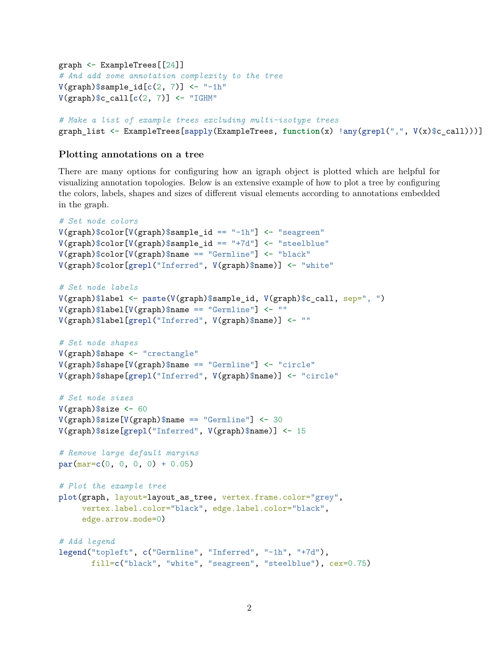```
graph <- ExampleTrees[[24]]
# And add some annotation complexity to the tree
V(\text{graph})$sample_id[c(2, 7)] <- "-1h"
V(\text{graph})c_{cal1}[c(2, 7)] <- "IGHM"
```

```
# Make a list of example trees excluding multi-isotype trees
graph_list <- ExampleTrees[sapply(ExampleTrees, function(x) !any(grepl(",", V(x)$c_call)))]
```
#### <span id="page-1-0"></span>**Plotting annotations on a tree**

There are many options for configuring how an igraph object is plotted which are helpful for visualizing annotation topologies. Below is an extensive example of how to plot a tree by configuring the colors, labels, shapes and sizes of different visual elements according to annotations embedded in the graph.

```
# Set node colors
V(\text{graph})$color[V(\text{graph})$sample_id == "-1h"] <- "seagreen"
V(graph)$color[V(graph)$sample_id == "+7d"] <- "steelblue"
V(\text{graph})$color[V(\text{graph})$name == "Germline"] <- "black"
V(graph)$color[grepl("Inferred", V(graph)$name)] <- "white"
# Set node labels
V(graph)$label <- paste(V(graph)$sample_id, V(graph)$c_call, sep=", ")
V(\text{graph})$label[V(\text{graph})$name == "Germline"] <- ""
V(graph)$label[grepl("Inferred", V(graph)$name)] <- ""
# Set node shapes
V(graph)$shape <- "crectangle"
V(\text{graph})$shape[V(\text{graph})\name == "Germline"] <- "circle"
V(graph)$shape[grepl("Inferred", V(graph)$name)] <- "circle"
# Set node sizes
V(\text{graph})$size <- 60
V(\text{graph})$size[V(graph)$name == "Germline"] <- 30
V(graph)$size[grepl("Inferred", V(graph)$name)] <- 15
# Remove large default margins
par(max=c(0, 0, 0, 0) + 0.05)# Plot the example tree
plot(graph, layout=layout_as_tree, vertex.frame.color="grey",
     vertex.label.color="black", edge.label.color="black",
     edge.arrow.mode=0)
# Add legend
legend("topleft", c("Germline", "Inferred", "-1h", "+7d"),
       fill=c("black", "white", "seagreen", "steelblue"), cex=0.75)
```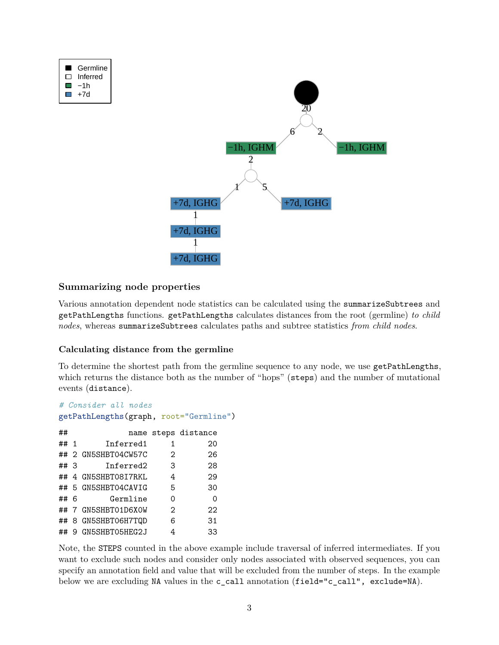

## <span id="page-2-0"></span>**Summarizing node properties**

Various annotation dependent node statistics can be calculated using the summarizeSubtrees and getPathLengths functions. getPathLengths calculates distances from the root (germline) *to child nodes*, whereas summarizeSubtrees calculates paths and subtree statistics *from child nodes*.

## **Calculating distance from the germline**

To determine the shortest path from the germline sequence to any node, we use getPathLengths, which returns the distance both as the number of "hops" (steps) and the number of mutational events (distance).

```
# Consider all nodes
getPathLengths(graph, root="Germline")
```

| ##   |                     |                | name steps distance |
|------|---------------------|----------------|---------------------|
| ## 1 | Inferred1           | 1              | 20                  |
|      | ## 2 GN5SHBT04CW57C | 2              | 26                  |
| ##3  | Inferred2           | 3              | 28                  |
|      | ## 4 GN5SHBT08I7RKL | 4              | 29                  |
|      | ## 5 GN5SHBT04CAVIG | 5              | 30                  |
| ## 6 | Germline            | 0              | $\Omega$            |
|      | ## 7 GN5SHBT01D6XOW | $\mathfrak{D}$ | 22                  |
|      | ## 8 GN5SHBT06H7TQD | 6              | 31                  |
|      | ## 9 GN5SHBT05HEG2J | 4              | 33                  |

Note, the STEPS counted in the above example include traversal of inferred intermediates. If you want to exclude such nodes and consider only nodes associated with observed sequences, you can specify an annotation field and value that will be excluded from the number of steps. In the example below we are excluding NA values in the c\_call annotation (field="c\_call", exclude=NA).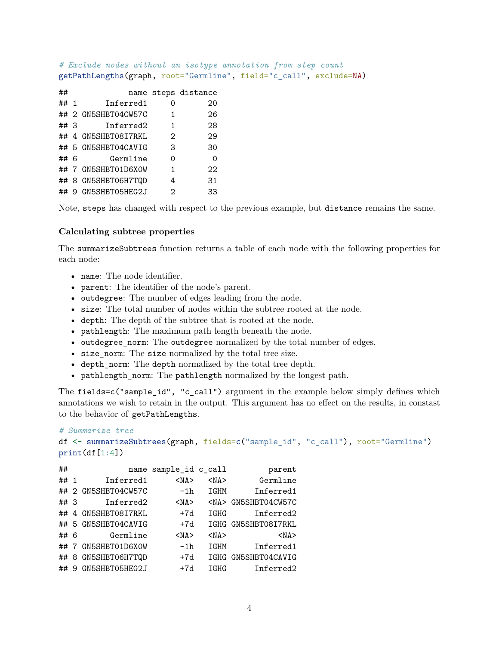*# Exclude nodes without an isotype annotation from step count* getPathLengths(graph, root="Germline", field="c\_call", exclude=NA)

| ##   |                     |               | name steps distance |
|------|---------------------|---------------|---------------------|
| ## 1 | Inferred1           | Ω             | 20                  |
|      | ## 2 GN5SHBT04CW57C | 1             | 26                  |
| ##3  | Inferred2           | 1             | 28                  |
|      | ## 4 GN5SHBT08I7RKL | $\mathcal{D}$ | 29                  |
|      | ## 5 GN5SHBT04CAVIG | З             | 30                  |
| ## 6 | Germline            | Ω             | 0                   |
|      | ## 7 GN5SHBT01D6XOW | 1             | 22                  |
|      | ## 8 GN5SHBT06H7TQD | 4             | 31                  |
| ##   | 9 GN5SHBT05HEG2J    | 2             | 33                  |

Note, steps has changed with respect to the previous example, but distance remains the same.

#### **Calculating subtree properties**

The summarizeSubtrees function returns a table of each node with the following properties for each node:

- name: The node identifier.
- parent: The identifier of the node's parent.
- outdegree: The number of edges leading from the node.
- size: The total number of nodes within the subtree rooted at the node.
- depth: The depth of the subtree that is rooted at the node.
- pathlength: The maximum path length beneath the node.
- outdegree\_norm: The outdegree normalized by the total number of edges.
- size\_norm: The size normalized by the total tree size.
- depth\_norm: The depth normalized by the total tree depth.
- pathlength\_norm: The pathlength normalized by the longest path.

The fields=c("sample\_id", "c\_call") argument in the example below simply defines which annotations we wish to retain in the output. This argument has no effect on the results, in constast to the behavior of getPathLengths.

```
# Summarize tree
df <- summarizeSubtrees(graph, fields=c("sample_id", "c_call"), root="Germline")
print(df[1:4])
```

| ##   |   |                  | name sample_id c_call |             | parent         |
|------|---|------------------|-----------------------|-------------|----------------|
| ## 1 |   | Inferred1        | $<$ NA $>$            | $<$ NA $>$  | Germline       |
| ##   |   | 2 GN5SHBT04CW57C | $-1h$                 | IGHM        | Inferred1      |
| ## 3 |   | Inferred2        | $<$ NA $>$            | $<$ NA $>$  | GN5SHBT04CW57C |
| ##   | 4 | GN5SHBT08I7RKL   | $+7d$                 | IGHG        | Inferred2      |
| ##   |   | 5 GN5SHBT04CAVIG | $+7d$                 | IGHG        | GN5SHBT08I7RKL |
| ## 6 |   | Germline         | $<$ NA $>$            | $<$ NA $>$  | $<$ NA $>$     |
| ##   | 7 | GN5SHBT01D6X0W   | $-1h$                 | IGHM        | Inferred1      |
| ##   | 8 | GN5SHBT06H7TQD   | $+7d$                 | <b>TGHG</b> | GN5SHBT04CAVIG |
| ##   | 9 | GN5SHBT05HEG2J   | $+7d$                 | IGHG        | Inferred2      |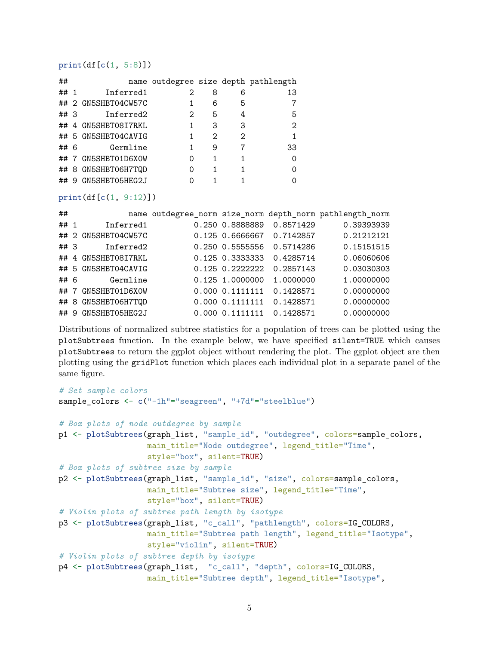#### $print(df[c(1, 5:8)])$

| ##   |                     |                   |   |   | name outdegree size depth pathlength |
|------|---------------------|-------------------|---|---|--------------------------------------|
| ## 1 | Inferred1           | 2                 | 8 | 6 | 13                                   |
|      | ## 2 GN5SHBT04CW57C |                   | 6 | 5 |                                      |
| ##3  | Inferred2           | $\mathcal{D}_{1}$ | 5 | 4 | 5                                    |
|      | ## 4 GN5SHBT08I7RKL | 1                 | 3 | 3 | 2                                    |
|      | ## 5 GN5SHBT04CAVIG | 1                 | 2 | 2 |                                      |
| ## 6 | Germline            | 1                 | 9 |   | 33                                   |
|      | ## 7 GN5SHBT01D6X0W | ი                 | 1 | 1 | ∩                                    |
|      | ## 8 GN5SHBT06H7TQD | Ω                 |   | 1 | ∩                                    |
| ##9  | GN5SHBT05HEG2J      |                   |   |   | Ω                                    |

print(df[c(1, 9:12)])

| ##   |                     |                 |           | name outdegree_norm size_norm depth_norm pathlength_norm |
|------|---------------------|-----------------|-----------|----------------------------------------------------------|
| ## 1 | Inferred1           | 0.250 0.8888889 | 0.8571429 | 0.39393939                                               |
|      | ## 2 GN5SHBT04CW57C | 0.125 0.6666667 | 0.7142857 | 0.21212121                                               |
| ##3  | Inferred2           | 0.250 0.5555556 | 0.5714286 | 0.15151515                                               |
|      | ## 4 GN5SHBT08I7RKL | 0.125 0.3333333 | 0.4285714 | 0.06060606                                               |
|      | ## 5 GN5SHBT04CAVIG | 0.125 0.2222222 | 0.2857143 | 0.03030303                                               |
| ## 6 | Germline            | 0.125 1.0000000 | 1,0000000 | 1.00000000                                               |
| ##7  | GN5SHBT01D6X0W      | 0.000 0.1111111 | 0.1428571 | 0.00000000                                               |
|      | ## 8 GN5SHBT06H7TQD | 0.000 0.1111111 | 0.1428571 | 0.00000000                                               |
|      | ## 9 GN5SHBT05HEG2J | 0.000 0.1111111 | 0.1428571 | 0.00000000                                               |

Distributions of normalized subtree statistics for a population of trees can be plotted using the plotSubtrees function. In the example below, we have specified silent=TRUE which causes plotSubtrees to return the ggplot object without rendering the plot. The ggplot object are then plotting using the gridPlot function which places each individual plot in a separate panel of the same figure.

```
# Set sample colors
sample_colors <- c("-1h"="seagreen", "+7d"="steelblue")
# Box plots of node outdegree by sample
p1 <- plotSubtrees(graph_list, "sample_id", "outdegree", colors=sample_colors,
                   main_title="Node outdegree", legend_title="Time",
                   style="box", silent=TRUE)
# Box plots of subtree size by sample
p2 <- plotSubtrees(graph_list, "sample_id", "size", colors=sample_colors,
                   main_title="Subtree size", legend_title="Time",
                   style="box", silent=TRUE)
# Violin plots of subtree path length by isotype
p3 <- plotSubtrees(graph_list, "c_call", "pathlength", colors=IG_COLORS,
                   main_title="Subtree path length", legend_title="Isotype",
                   style="violin", silent=TRUE)
# Violin plots of subtree depth by isotype
p4 <- plotSubtrees(graph_list, "c_call", "depth", colors=IG_COLORS,
                   main_title="Subtree depth", legend_title="Isotype",
```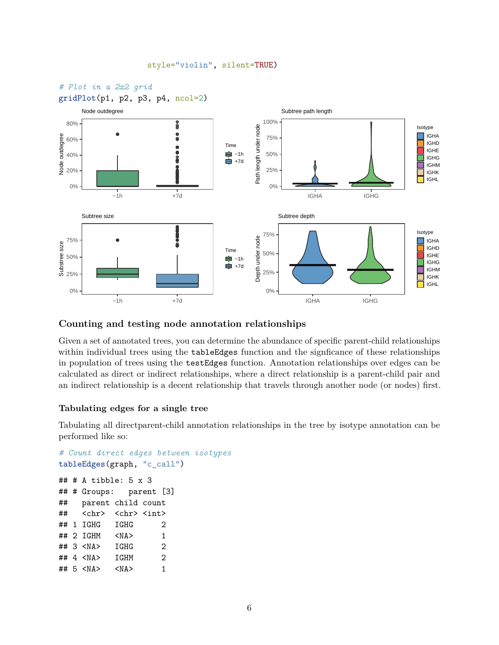#### style="violin", silent=TRUE)



#### <span id="page-5-0"></span>**Counting and testing node annotation relationships**

Given a set of annotated trees, you can determine the abundance of specific parent-child relationships within individual trees using the tableEdges function and the signficance of these relationships in population of trees using the testEdges function. Annotation relationships over edges can be calculated as direct or indirect relationships, where a direct relationship is a parent-child pair and an indirect relationship is a decent relationship that travels through another node (or nodes) first.

#### **Tabulating edges for a single tree**

Tabulating all directparent-child annotation relationships in the tree by isotype annotation can be performed like so:

```
# Count direct edges between isotypes
tableEdges(graph, "c_call")
## # A tibble: 5 x 3
## # Groups: parent [3]
## parent child count
## <chr> <chr> <int>
## 1 IGHG IGHG 2
## 2 IGHM <NA> 1
## 3 <NA> IGHG 2
## 4 <NA> IGHM 2
## 5 <NA> <NA> 1
```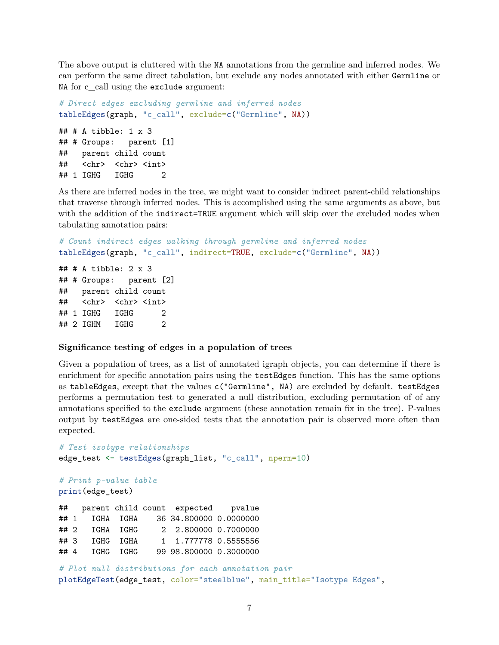The above output is cluttered with the NA annotations from the germline and inferred nodes. We can perform the same direct tabulation, but exclude any nodes annotated with either Germline or NA for c\_call using the exclude argument:

```
# Direct edges excluding germline and inferred nodes
tableEdges(graph, "c_call", exclude=c("Germline", NA))
## # A tibble: 1 x 3
## # Groups: parent [1]
## parent child count
## <chr> <chr> <int>
## 1 IGHG IGHG 2
```
As there are inferred nodes in the tree, we might want to consider indirect parent-child relationships that traverse through inferred nodes. This is accomplished using the same arguments as above, but with the addition of the indirect=TRUE argument which will skip over the excluded nodes when tabulating annotation pairs:

```
# Count indirect edges walking through germline and inferred nodes
tableEdges(graph, "c_call", indirect=TRUE, exclude=c("Germline", NA))
```
## # A tibble: 2 x 3 ## # Groups: parent [2] ## parent child count ## <chr> <chr> <int> ## 1 IGHG IGHG 2 ## 2 IGHM IGHG 2

#### **Significance testing of edges in a population of trees**

Given a population of trees, as a list of annotated igraph objects, you can determine if there is enrichment for specific annotation pairs using the testEdges function. This has the same options as tableEdges, except that the values c("Germline", NA) are excluded by default. testEdges performs a permutation test to generated a null distribution, excluding permutation of of any annotations specified to the exclude argument (these annotation remain fix in the tree). P-values output by testEdges are one-sided tests that the annotation pair is observed more often than expected.

```
# Test isotype relationships
edge_test <- testEdges(graph_list, "c_call", nperm=10)
# Print p-value table
print(edge_test)
## parent child count expected pvalue
## 1 IGHA IGHA 36 34.800000 0.0000000
## 2 IGHA IGHG 2 2.800000 0.7000000
## 3 IGHG IGHA 1 1.777778 0.5555556
## 4 IGHG IGHG 99 98.800000 0.3000000
```
*# Plot null distributions for each annotation pair* plotEdgeTest(edge\_test, color="steelblue", main\_title="Isotype Edges",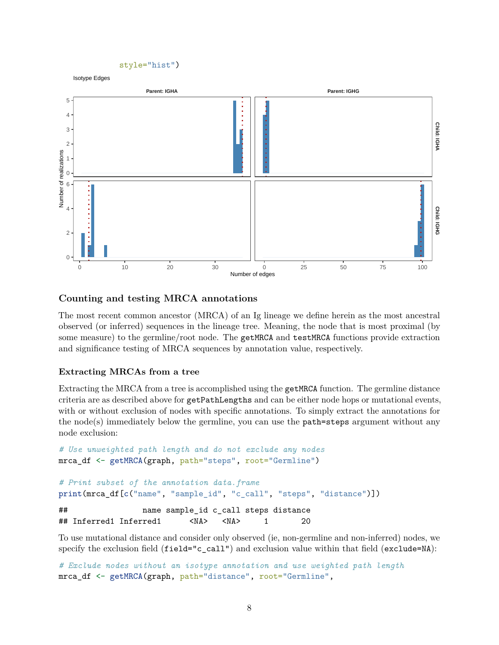

## <span id="page-7-0"></span>**Counting and testing MRCA annotations**

The most recent common ancestor (MRCA) of an Ig lineage we define herein as the most ancestral observed (or inferred) sequences in the lineage tree. Meaning, the node that is most proximal (by some measure) to the germline/root node. The getMRCA and testMRCA functions provide extraction and significance testing of MRCA sequences by annotation value, respectively.

#### **Extracting MRCAs from a tree**

Extracting the MRCA from a tree is accomplished using the getMRCA function. The germline distance criteria are as described above for getPathLengths and can be either node hops or mutational events, with or without exclusion of nodes with specific annotations. To simply extract the annotations for the node(s) immediately below the germline, you can use the  $path=steps$  argument without any node exclusion:

```
# Use unweighted path length and do not exclude any nodes
mrca_df <- getMRCA(graph, path="steps", root="Germline")
# Print subset of the annotation data.frame
print(mrca_df[c("name", "sample_id", "c_call", "steps", "distance")])
## name sample_id c_call steps distance
## Inferred1 Inferred1 <NA> <NA> 1 20
```
To use mutational distance and consider only observed (ie, non-germline and non-inferred) nodes, we specify the exclusion field (field="c\_call") and exclusion value within that field (exclude=NA):

```
# Exclude nodes without an isotype annotation and use weighted path length
mrca_df <- getMRCA(graph, path="distance", root="Germline",
```